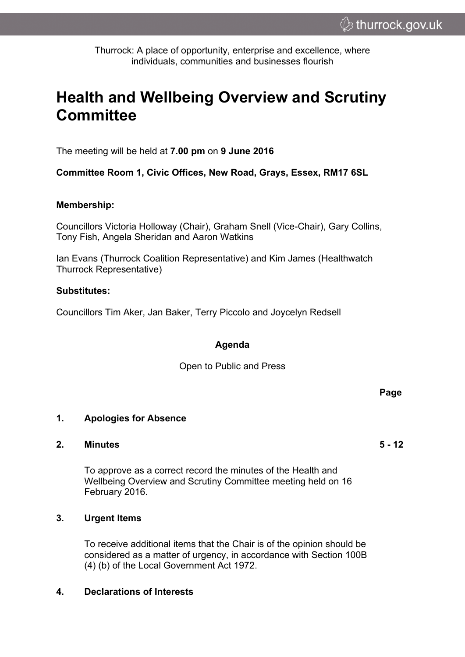Thurrock: A place of opportunity, enterprise and excellence, where individuals, communities and businesses flourish

# **Health and Wellbeing Overview and Scrutiny Committee**

The meeting will be held at **7.00 pm** on **9 June 2016**

**Committee Room 1, Civic Offices, New Road, Grays, Essex, RM17 6SL**

#### **Membership:**

Councillors Victoria Holloway (Chair), Graham Snell (Vice-Chair), Gary Collins, Tony Fish, Angela Sheridan and Aaron Watkins

Ian Evans (Thurrock Coalition Representative) and Kim James (Healthwatch Thurrock Representative)

### **Substitutes:**

Councillors Tim Aker, Jan Baker, Terry Piccolo and Joycelyn Redsell

## **Agenda**

Open to Public and Press

#### **1. Apologies for Absence**

#### **2. Minutes 5 - 12**

To approve as a correct record the minutes of the Health and Wellbeing Overview and Scrutiny Committee meeting held on 16 February 2016.

#### **3. Urgent Items**

To receive additional items that the Chair is of the opinion should be considered as a matter of urgency, in accordance with Section 100B (4) (b) of the Local Government Act 1972.

#### **4. Declarations of Interests**

**Page**